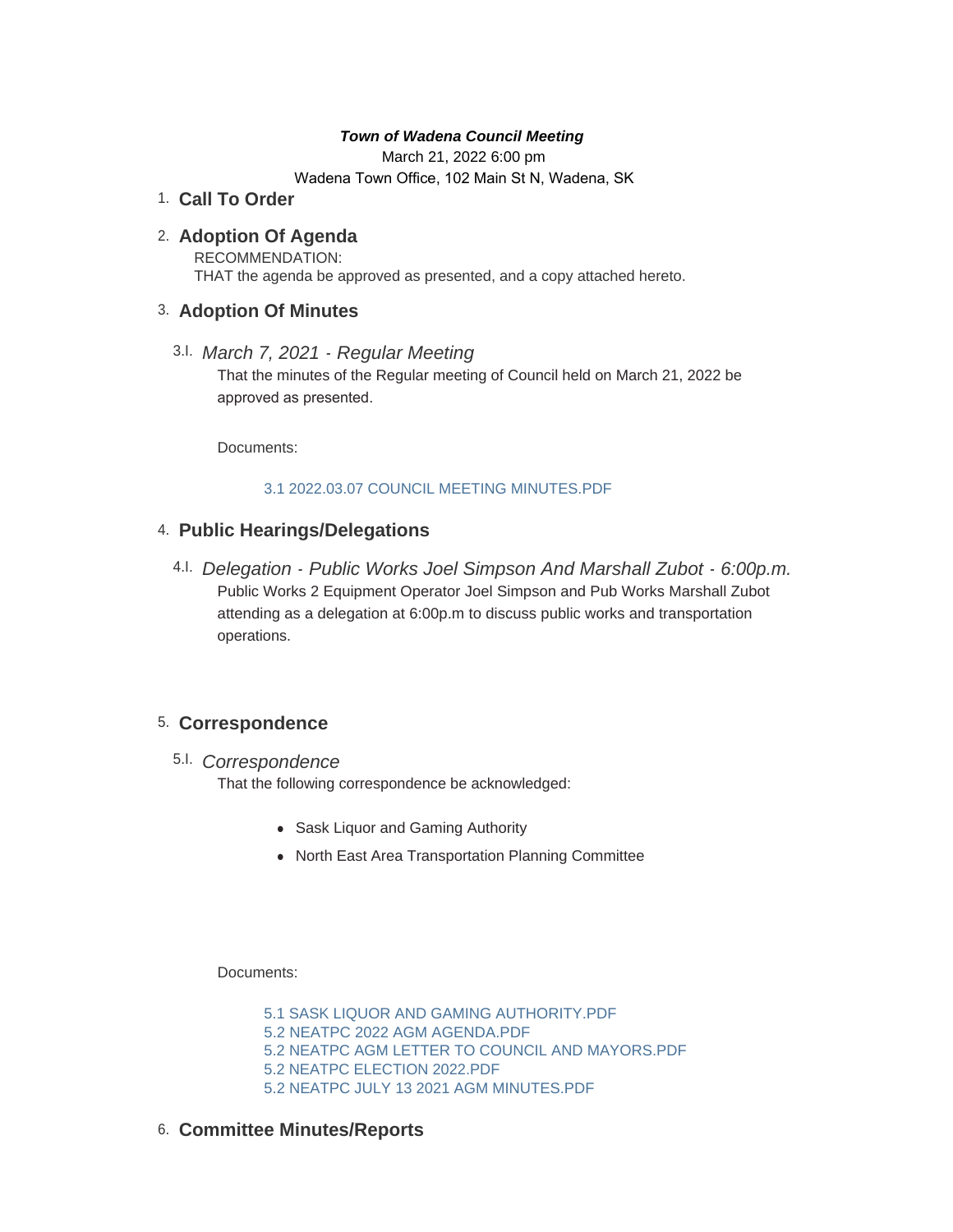#### *Town of Wadena Council Meeting*

March 21, 2022 6:00 pm

Wadena Town Office, 102 Main St N, Wadena, SK

# **Call To Order** 1.

# **Adoption Of Agenda** 2.

RECOMMENDATION: THAT the agenda be approved as presented, and a copy attached hereto.

## **Adoption Of Minutes** 3.

*March 7, 2021 - Regular Meeting* 3.I. That the minutes of the Regular meeting of Council held on March 21, 2022 be approved as presented.

Documents:

#### [3.1 2022.03.07 COUNCIL MEETING MINUTES.PDF](http://townofwadena.com/AgendaCenter/ViewFile/Item/3456?fileID=4173)

# **Public Hearings/Delegations** 4.

*Delegation - Public Works Joel Simpson And Marshall Zubot - 6:00p.m.* 4.I. Public Works 2 Equipment Operator Joel Simpson and Pub Works Marshall Zubot attending as a delegation at 6:00p.m to discuss public works and transportation operations.

# **Correspondence** 5.

# *Correspondence* 5.I.

That the following correspondence be acknowledged:

- Sask Liquor and Gaming Authority
- North East Area Transportation Planning Committee

Documents:

[5.1 SASK LIQUOR AND GAMING AUTHORITY.PDF](http://townofwadena.com/AgendaCenter/ViewFile/Item/3459?fileID=4174) [5.2 NEATPC 2022 AGM AGENDA.PDF](http://townofwadena.com/AgendaCenter/ViewFile/Item/3459?fileID=4175) [5.2 NEATPC AGM LETTER TO COUNCIL AND MAYORS.PDF](http://townofwadena.com/AgendaCenter/ViewFile/Item/3459?fileID=4176) [5.2 NEATPC ELECTION 2022.PDF](http://townofwadena.com/AgendaCenter/ViewFile/Item/3459?fileID=4177) [5.2 NEATPC JULY 13 2021 AGM MINUTES.PDF](http://townofwadena.com/AgendaCenter/ViewFile/Item/3459?fileID=4178)

**Committee Minutes/Reports** 6.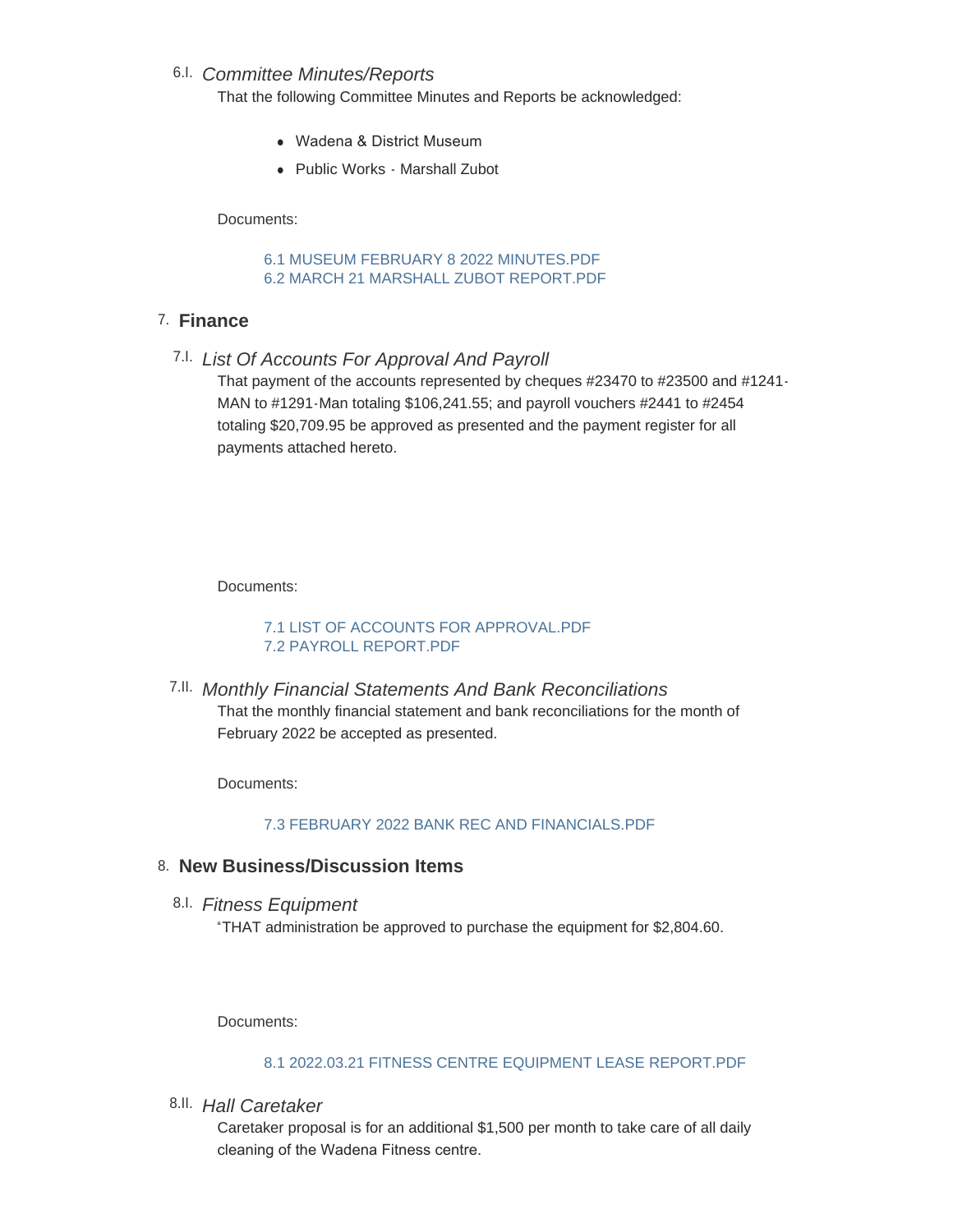# *Committee Minutes/Reports* 6.I.

That the following Committee Minutes and Reports be acknowledged:

- Wadena & District Museum
- Public Works Marshall Zubot

Documents:

[6.1 MUSEUM FEBRUARY 8 2022 MINUTES.PDF](http://townofwadena.com/AgendaCenter/ViewFile/Item/3461?fileID=4170) [6.2 MARCH 21 MARSHALL ZUBOT REPORT.PDF](http://townofwadena.com/AgendaCenter/ViewFile/Item/3461?fileID=4171)

# **Finance** 7.

*List Of Accounts For Approval And Payroll* 7.I.

That payment of the accounts represented by cheques #23470 to #23500 and #1241- MAN to #1291-Man totaling \$106,241.55; and payroll vouchers #2441 to #2454 totaling \$20,709.95 be approved as presented and the payment register for all payments attached hereto.

Documents:

[7.1 LIST OF ACCOUNTS FOR APPROVAL.PDF](http://townofwadena.com/AgendaCenter/ViewFile/Item/3463?fileID=4179) [7.2 PAYROLL REPORT.PDF](http://townofwadena.com/AgendaCenter/ViewFile/Item/3463?fileID=4180)

*Monthly Financial Statements And Bank Reconciliations* 7.II. That the monthly financial statement and bank reconciliations for the month of February 2022 be accepted as presented.

Documents:

[7.3 FEBRUARY 2022 BANK REC AND FINANCIALS.PDF](http://townofwadena.com/AgendaCenter/ViewFile/Item/3408?fileID=4172)

# **New Business/Discussion Items** 8.

*Fitness Equipment* 8.I.

"THAT administration be approved to purchase the equipment for \$2,804.60.

Documents:

### [8.1 2022.03.21 FITNESS CENTRE EQUIPMENT LEASE REPORT.PDF](http://townofwadena.com/AgendaCenter/ViewFile/Item/3476?fileID=4157)

*Hall Caretaker* 8.II.

Caretaker proposal is for an additional \$1,500 per month to take care of all daily cleaning of the Wadena Fitness centre.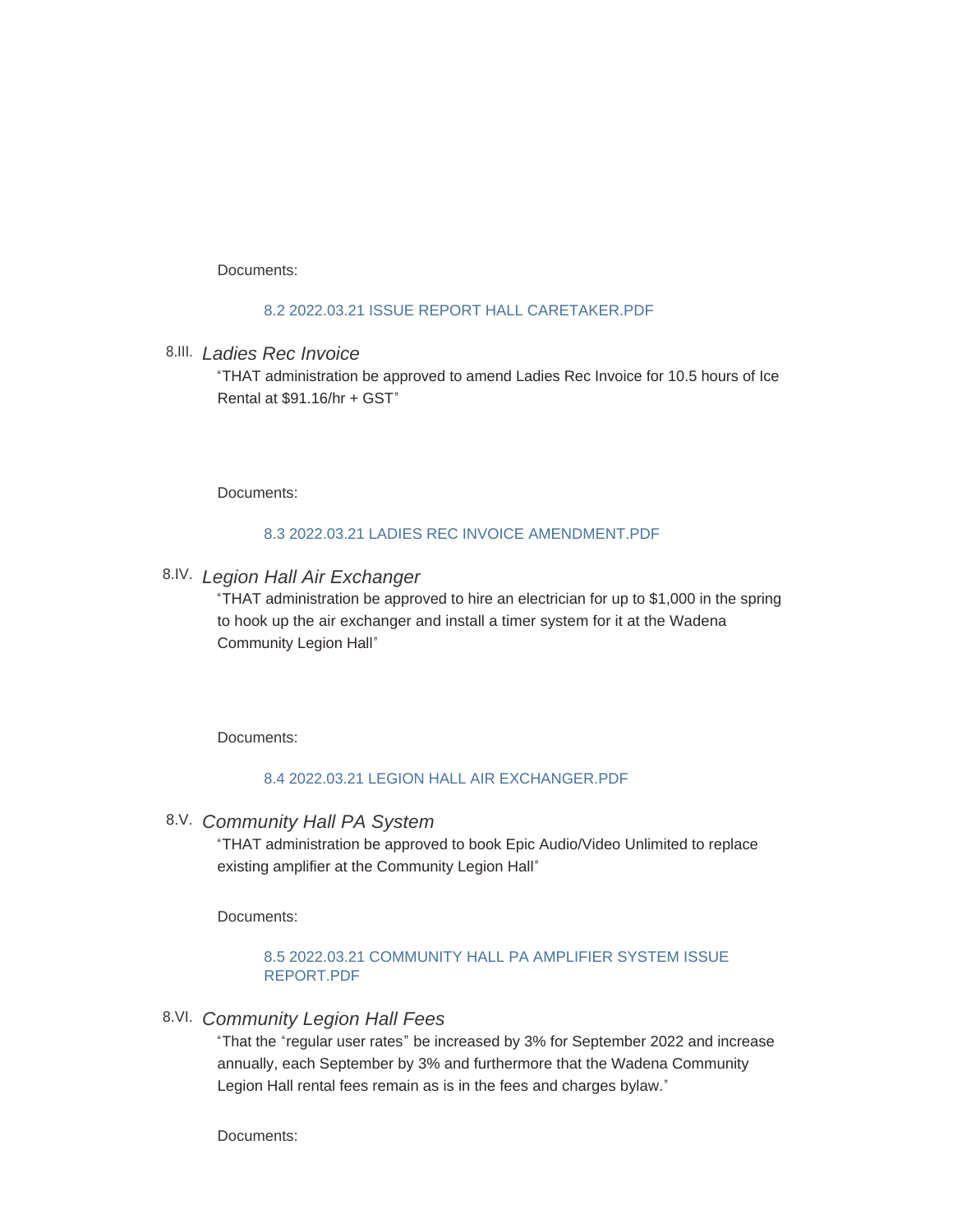Documents:

#### [8.2 2022.03.21 ISSUE REPORT HALL CARETAKER.PDF](http://townofwadena.com/AgendaCenter/ViewFile/Item/3473?fileID=4158)

*Ladies Rec Invoice* 8.III.

"THAT administration be approved to amend Ladies Rec Invoice for 10.5 hours of Ice Rental at \$91.16/hr + GST"

Documents:

#### [8.3 2022.03.21 LADIES REC INVOICE AMENDMENT.PDF](http://townofwadena.com/AgendaCenter/ViewFile/Item/3466?fileID=4159)

### *Legion Hall Air Exchanger* 8.IV.

"THAT administration be approved to hire an electrician for up to \$1,000 in the spring to hook up the air exchanger and install a timer system for it at the Wadena Community Legion Hall"

Documents:

#### [8.4 2022.03.21 LEGION HALL AIR EXCHANGER.PDF](http://townofwadena.com/AgendaCenter/ViewFile/Item/3465?fileID=4160)

*Community Hall PA System* 8.V.

"THAT administration be approved to book Epic Audio/Video Unlimited to replace existing amplifier at the Community Legion Hall"

Documents:

#### [8.5 2022.03.21 COMMUNITY HALL PA AMPLIFIER SYSTEM ISSUE](http://townofwadena.com/AgendaCenter/ViewFile/Item/3479?fileID=4161)  REPORT.PDF

*Community Legion Hall Fees* 8.VI.

"That the "regular user rates" be increased by 3% for September 2022 and increase annually, each September by 3% and furthermore that the Wadena Community Legion Hall rental fees remain as is in the fees and charges bylaw."

Documents: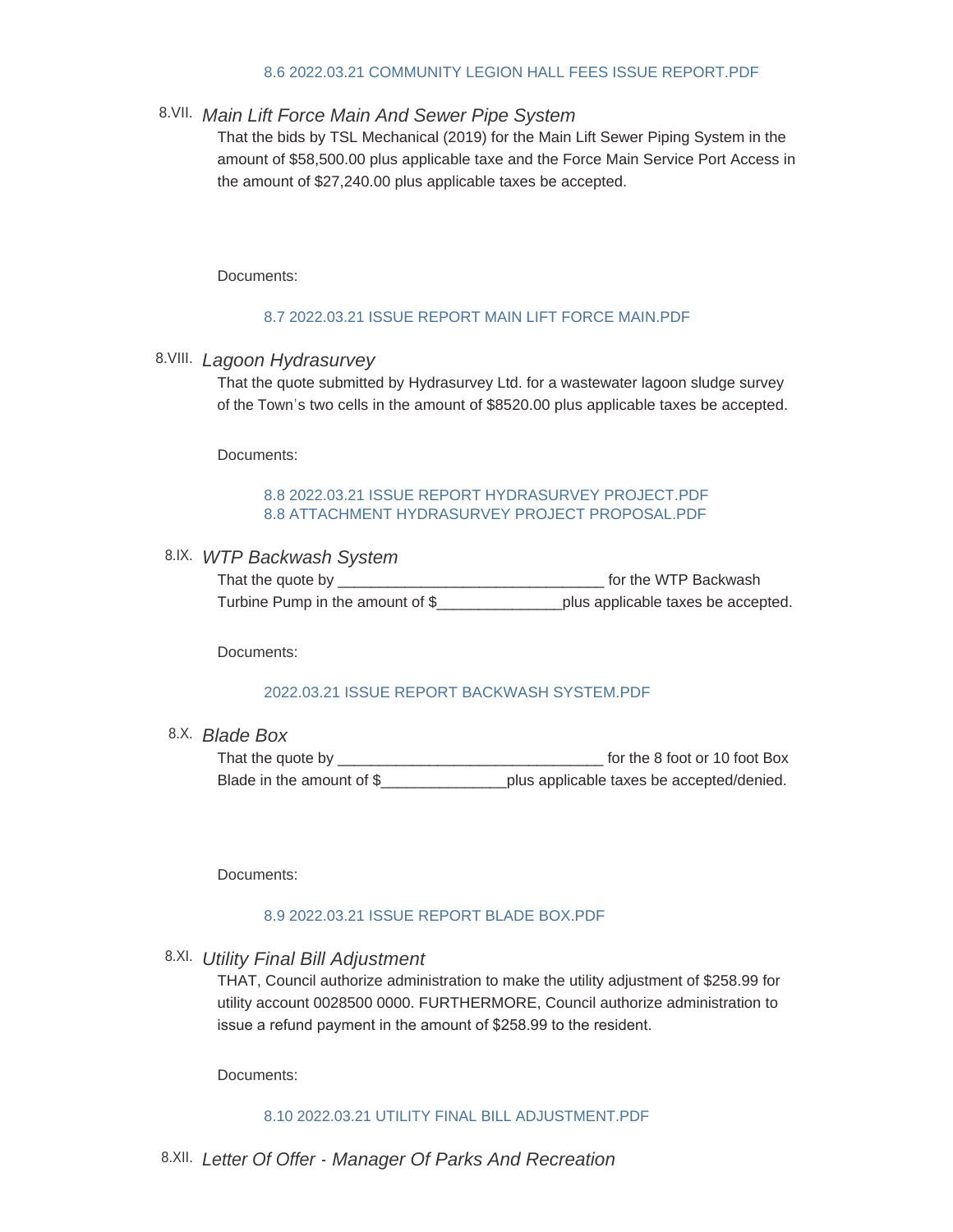#### [8.6 2022.03.21 COMMUNITY LEGION HALL FEES ISSUE REPORT.PDF](http://townofwadena.com/AgendaCenter/ViewFile/Item/3468?fileID=4162)

### *Main Lift Force Main And Sewer Pipe System* 8.VII.

That the bids by TSL Mechanical (2019) for the Main Lift Sewer Piping System in the amount of \$58,500.00 plus applicable taxe and the Force Main Service Port Access in the amount of \$27,240.00 plus applicable taxes be accepted.

Documents:

#### [8.7 2022.03.21 ISSUE REPORT MAIN LIFT FORCE MAIN.PDF](http://townofwadena.com/AgendaCenter/ViewFile/Item/3474?fileID=4163)

### *Lagoon Hydrasurvey* 8.VIII.

That the quote submitted by Hydrasurvey Ltd. for a wastewater lagoon sludge survey of the Town's two cells in the amount of \$8520.00 plus applicable taxes be accepted.

Documents:

#### [8.8 2022.03.21 ISSUE REPORT HYDRASURVEY PROJECT.PDF](http://townofwadena.com/AgendaCenter/ViewFile/Item/3472?fileID=4164) [8.8 ATTACHMENT HYDRASURVEY PROJECT PROPOSAL.PDF](http://townofwadena.com/AgendaCenter/ViewFile/Item/3472?fileID=4165)

#### *WTP Backwash System* 8.IX.

| That the quote by                | for the WTP Backwash               |
|----------------------------------|------------------------------------|
| Turbine Pump in the amount of \$ | plus applicable taxes be accepted. |

Documents:

#### [2022.03.21 ISSUE REPORT BACKWASH SYSTEM.PDF](http://townofwadena.com/AgendaCenter/ViewFile/Item/3481?fileID=4169)

*Blade Box* 8.X.

That the quote by \_\_\_\_\_\_\_\_\_\_\_\_\_\_\_\_\_\_\_\_\_\_\_\_\_\_\_\_\_\_\_\_ for the 8 foot or 10 foot Box Blade in the amount of \$\_\_\_\_\_\_\_\_\_\_\_\_\_\_\_plus applicable taxes be accepted/denied.

Documents:

#### [8.9 2022.03.21 ISSUE REPORT BLADE BOX.PDF](http://townofwadena.com/AgendaCenter/ViewFile/Item/3477?fileID=4166)

*Utility Final Bill Adjustment* 8.XI.

THAT, Council authorize administration to make the utility adjustment of \$258.99 for utility account 0028500 0000. FURTHERMORE, Council authorize administration to issue a refund payment in the amount of \$258.99 to the resident.

Documents:

#### [8.10 2022.03.21 UTILITY FINAL BILL ADJUSTMENT.PDF](http://townofwadena.com/AgendaCenter/ViewFile/Item/3469?fileID=4167)

*Letter Of Offer - Manager Of Parks And Recreation* 8.XII.